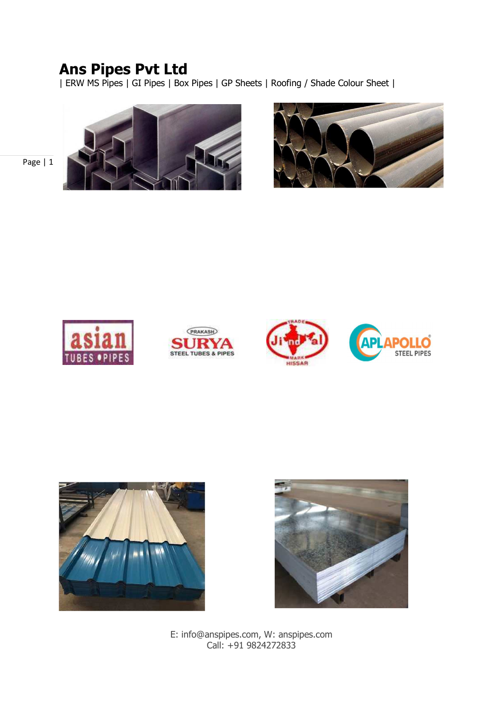| ERW MS Pipes | GI Pipes | Box Pipes | GP Sheets | Roofing / Shade Colour Sheet |







Page | 1







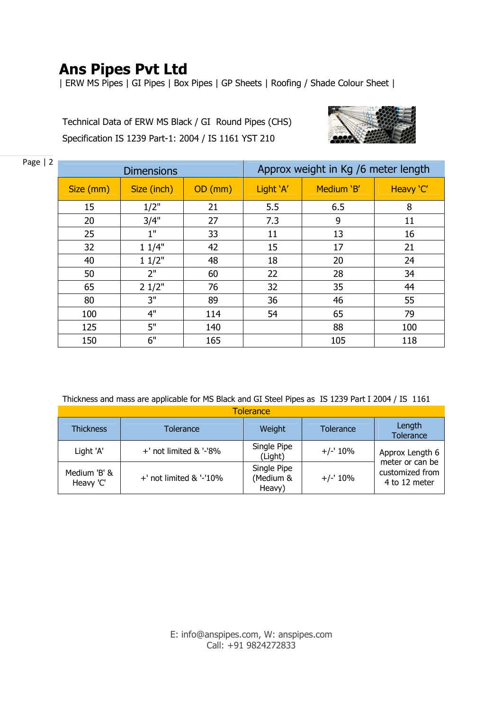| ERW MS Pipes | GI Pipes | Box Pipes | GP Sheets | Roofing / Shade Colour Sheet |

Technical Data of ERW MS Black / GI Round Pipes (CHS) Specification IS 1239 Part-1: 2004 / IS 1161 YST 210



| Page $ 2$ |                          |                   |         |                                     |            |           |  |  |
|-----------|--------------------------|-------------------|---------|-------------------------------------|------------|-----------|--|--|
|           |                          | <b>Dimensions</b> |         | Approx weight in Kg /6 meter length |            |           |  |  |
|           | Size (inch)<br>Size (mm) |                   | OD (mm) | Light 'A'                           | Medium 'B' | Heavy 'C' |  |  |
|           | 15                       | 1/2"              | 21      | 5.5                                 | 6.5        | 8         |  |  |
|           | 20                       | 3/4"              | 27      | 7.3                                 | 9          | 11        |  |  |
|           | 25                       | 1"                | 33      | 11                                  | 13         | 16        |  |  |
|           | 32                       | 11/4"             | 42      | 15                                  | 17         | 21        |  |  |
|           | 40                       | 11/2"             | 48      | 18                                  | 20         | 24        |  |  |
|           | 50                       | 2"                | 60      | 22                                  | 28         | 34        |  |  |
|           | 65                       | 21/2"             | 76      | 32                                  | 35         | 44        |  |  |
|           | 80                       | 3"                | 89      | 36                                  | 46         | 55        |  |  |
|           | 100                      | 4"                | 114     | 54                                  | 65         | 79        |  |  |
|           | 125                      | 5"                | 140     |                                     | 88         | 100       |  |  |
|           | 150                      | 6"                | 165     |                                     | 105        | 118       |  |  |

Thickness and mass are applicable for MS Black and GI Steel Pipes as IS 1239 Part I 2004 / IS 1161

| Tolerance                 |                            |                                    |           |                                                     |  |  |  |  |
|---------------------------|----------------------------|------------------------------------|-----------|-----------------------------------------------------|--|--|--|--|
| <b>Thickness</b>          | Tolerance                  | Weight                             | Tolerance | Length<br>Tolerance                                 |  |  |  |  |
| Light 'A'                 | +' not limited & '-'8%     | Single Pipe<br>(Light)             | $+/-10\%$ | Approx Length 6                                     |  |  |  |  |
| Medium 'B' &<br>Heavy 'C' | $+$ ' not limited & '-'10% | Single Pipe<br>(Medium &<br>Heavy) | $+/-10\%$ | meter or can be<br>customized from<br>4 to 12 meter |  |  |  |  |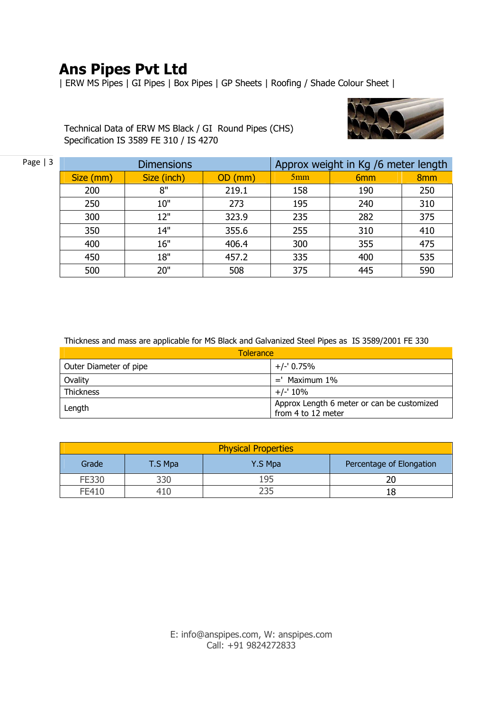| ERW MS Pipes | GI Pipes | Box Pipes | GP Sheets | Roofing / Shade Colour Sheet |



Technical Data of ERW MS Black / GI Round Pipes (CHS) Specification IS 3589 FE 310 / IS 4270

| Page $ 3$ |                          | <b>Dimensions</b> | Approx weight in Kg /6 meter length |     |                 |                 |
|-----------|--------------------------|-------------------|-------------------------------------|-----|-----------------|-----------------|
|           | Size (inch)<br>Size (mm) |                   | OD (mm)                             | 5mm | 6 <sub>mm</sub> | 8 <sub>mm</sub> |
|           | 200                      | 8"                | 219.1                               | 158 | 190             | 250             |
|           | 250                      | 10"               | 273                                 | 195 | 240             | 310             |
|           | 300                      | 12"               | 323.9                               | 235 | 282             | 375             |
|           | 350                      | 14"               | 355.6                               | 255 | 310             | 410             |
|           | 400                      | 16"               | 406.4                               | 300 | 355             | 475             |
|           | 450                      | 18"               | 457.2                               | 335 | 400             | 535             |
|           | 500                      | 20"               | 508                                 | 375 | 445             | 590             |

Thickness and mass are applicable for MS Black and Galvanized Steel Pipes as IS 3589/2001 FE 330

| <b>Tolerance</b>       |                                            |  |  |  |
|------------------------|--------------------------------------------|--|--|--|
| Outer Diameter of pipe | $+/- 0.75%$                                |  |  |  |
| Ovality                | $=$ ' Maximum 1%                           |  |  |  |
| <b>Thickness</b>       | $+/-10\%$                                  |  |  |  |
| Length                 | Approx Length 6 meter or can be customized |  |  |  |
|                        | from 4 to 12 meter                         |  |  |  |

| <b>Physical Properties</b> |         |         |                          |  |  |  |
|----------------------------|---------|---------|--------------------------|--|--|--|
| Grade                      | T.S Mpa | Y.S Mpa | Percentage of Elongation |  |  |  |
| FE330                      | 330     | 195     |                          |  |  |  |
| FE410                      | 410     |         |                          |  |  |  |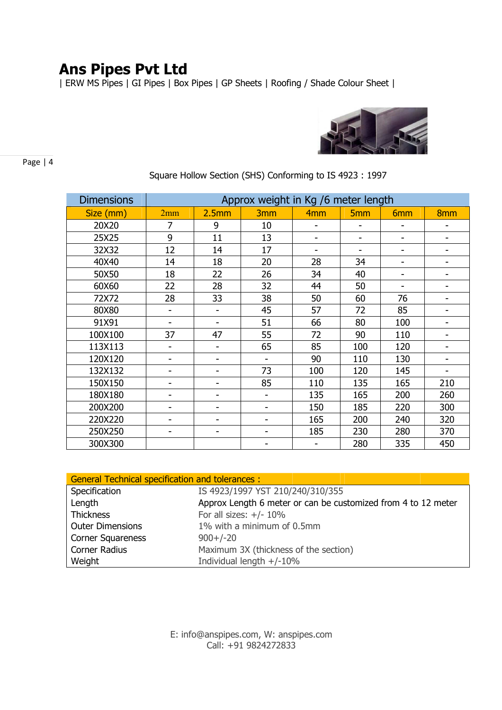| ERW MS Pipes | GI Pipes | Box Pipes | GP Sheets | Roofing / Shade Colour Sheet |



Page | 4

| <b>Dimensions</b> | Approx weight in Kg /6 meter length |       |                              |                          |            |                              |                              |
|-------------------|-------------------------------------|-------|------------------------------|--------------------------|------------|------------------------------|------------------------------|
| Size (mm)         | 2mm                                 | 2.5mm | 3 <sub>mm</sub>              | 4 <sub>mm</sub>          | <b>5mm</b> | 6 <sub>mm</sub>              | 8 <sub>mm</sub>              |
| 20X20             | 7                                   | 9     | 10                           |                          |            |                              |                              |
| 25X25             | 9                                   | 11    | 13                           |                          |            |                              |                              |
| 32X32             | 12                                  | 14    | 17                           | $\overline{\phantom{a}}$ |            | $\overline{\phantom{a}}$     | $\qquad \qquad \blacksquare$ |
| 40X40             | 14                                  | 18    | 20                           | 28                       | 34         | $\overline{\phantom{a}}$     | $\overline{\phantom{0}}$     |
| 50X50             | 18                                  | 22    | 26                           | 34                       | 40         | $\qquad \qquad \blacksquare$ | $\qquad \qquad \blacksquare$ |
| 60X60             | 22                                  | 28    | 32                           | 44                       | 50         | $\overline{\phantom{a}}$     |                              |
| 72X72             | 28                                  | 33    | 38                           | 50                       | 60         | 76                           | $\qquad \qquad \blacksquare$ |
| 80X80             | $\qquad \qquad \blacksquare$        |       | 45                           | 57                       | 72         | 85                           | $\qquad \qquad \blacksquare$ |
| 91X91             | $\overline{\phantom{a}}$            |       | 51                           | 66                       | 80         | 100                          | $\qquad \qquad \blacksquare$ |
| 100X100           | 37                                  | 47    | 55                           | 72                       | 90         | 110                          | $\qquad \qquad \blacksquare$ |
| 113X113           | $\qquad \qquad \blacksquare$        |       | 65                           | 85                       | 100        | 120                          | $\qquad \qquad \blacksquare$ |
| 120X120           | -                                   |       | $\qquad \qquad \blacksquare$ | 90                       | 110        | 130                          | $\overline{\phantom{0}}$     |
| 132X132           | $\qquad \qquad \blacksquare$        |       | 73                           | 100                      | 120        | 145                          | $\qquad \qquad \blacksquare$ |
| 150X150           | -                                   |       | 85                           | 110                      | 135        | 165                          | 210                          |
| 180X180           | -                                   |       |                              | 135                      | 165        | 200                          | 260                          |
| 200X200           |                                     |       |                              | 150                      | 185        | 220                          | 300                          |
| 220X220           | $\qquad \qquad \blacksquare$        |       | $\overline{\phantom{a}}$     | 165                      | 200        | 240                          | 320                          |
| 250X250           | $\overline{\phantom{a}}$            | -     |                              | 185                      | 230        | 280                          | 370                          |
| 300X300           |                                     |       |                              |                          | 280        | 335                          | 450                          |

### Square Hollow Section (SHS) Conforming to IS 4923 : 1997

| <b>General Technical specification and tolerances:</b> |                                                               |  |  |  |  |  |
|--------------------------------------------------------|---------------------------------------------------------------|--|--|--|--|--|
| Specification                                          | IS 4923/1997 YST 210/240/310/355                              |  |  |  |  |  |
| Length                                                 | Approx Length 6 meter or can be customized from 4 to 12 meter |  |  |  |  |  |
| Thickness                                              | For all sizes: $+/- 10\%$                                     |  |  |  |  |  |
| <b>Outer Dimensions</b>                                | 1% with a minimum of 0.5mm                                    |  |  |  |  |  |
| <b>Corner Squareness</b>                               | $900+/-20$                                                    |  |  |  |  |  |
| Corner Radius                                          | Maximum 3X (thickness of the section)                         |  |  |  |  |  |
| Weight                                                 | Individual length $+/-10\%$                                   |  |  |  |  |  |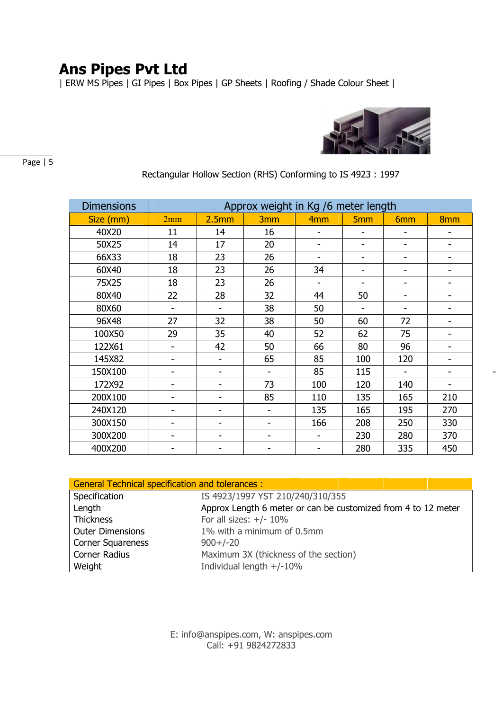| ERW MS Pipes | GI Pipes | Box Pipes | GP Sheets | Roofing / Shade Colour Sheet |



Page | 5

| <b>Dimensions</b> | Approx weight in Kg /6 meter length |                          |                          |                          |                              |                          |                              |
|-------------------|-------------------------------------|--------------------------|--------------------------|--------------------------|------------------------------|--------------------------|------------------------------|
| Size (mm)         | 2mm                                 | 2.5mm                    | 3 <sub>mm</sub>          | 4 <sub>mm</sub>          | 5 <sub>mm</sub>              | 6 <sub>mm</sub>          | 8 <sub>mm</sub>              |
| 40X20             | 11                                  | 14                       | 16                       |                          |                              | -                        |                              |
| 50X25             | 14                                  | 17                       | 20                       | $\overline{\phantom{0}}$ | $\qquad \qquad \blacksquare$ | $\overline{\phantom{a}}$ | $\overline{\phantom{0}}$     |
| 66X33             | 18                                  | 23                       | 26                       |                          |                              | $\overline{\phantom{a}}$ |                              |
| 60X40             | 18                                  | 23                       | 26                       | 34                       | $\overline{\phantom{a}}$     | $\overline{\phantom{a}}$ |                              |
| 75X25             | 18                                  | 23                       | 26                       | $\overline{\phantom{a}}$ |                              | $\overline{\phantom{a}}$ |                              |
| 80X40             | 22                                  | 28                       | 32                       | 44                       | 50                           | $\overline{\phantom{a}}$ |                              |
| 80X60             |                                     |                          | 38                       | 50                       |                              |                          |                              |
| 96X48             | 27                                  | 32                       | 38                       | 50                       | 60                           | 72                       | $\qquad \qquad \blacksquare$ |
| 100X50            | 29                                  | 35                       | 40                       | 52                       | 62                           | 75                       | -                            |
| 122X61            |                                     | 42                       | 50                       | 66                       | 80                           | 96                       |                              |
| 145X82            |                                     | $\blacksquare$           | 65                       | 85                       | 100                          | 120                      |                              |
| 150X100           |                                     | -                        |                          | 85                       | 115                          |                          |                              |
| 172X92            |                                     |                          | 73                       | 100                      | 120                          | 140                      |                              |
| 200X100           |                                     |                          | 85                       | 110                      | 135                          | 165                      | 210                          |
| 240X120           |                                     | $\overline{\phantom{a}}$ | $\overline{\phantom{a}}$ | 135                      | 165                          | 195                      | 270                          |
| 300X150           |                                     |                          |                          | 166                      | 208                          | 250                      | 330                          |
| 300X200           |                                     |                          |                          |                          | 230                          | 280                      | 370                          |
| 400X200           |                                     |                          |                          | -                        | 280                          | 335                      | 450                          |

### Rectangular Hollow Section (RHS) Conforming to IS 4923 : 1997

| <b>General Technical specification and tolerances:</b> |                                                               |  |  |  |  |  |
|--------------------------------------------------------|---------------------------------------------------------------|--|--|--|--|--|
| Specification                                          | IS 4923/1997 YST 210/240/310/355                              |  |  |  |  |  |
| Length                                                 | Approx Length 6 meter or can be customized from 4 to 12 meter |  |  |  |  |  |
| <b>Thickness</b>                                       | For all sizes: $+/- 10\%$                                     |  |  |  |  |  |
| <b>Outer Dimensions</b>                                | 1% with a minimum of 0.5mm                                    |  |  |  |  |  |
| <b>Corner Squareness</b>                               | $900+/-20$                                                    |  |  |  |  |  |
| Corner Radius                                          | Maximum 3X (thickness of the section)                         |  |  |  |  |  |
| Weight                                                 | Individual length $+/-10\%$                                   |  |  |  |  |  |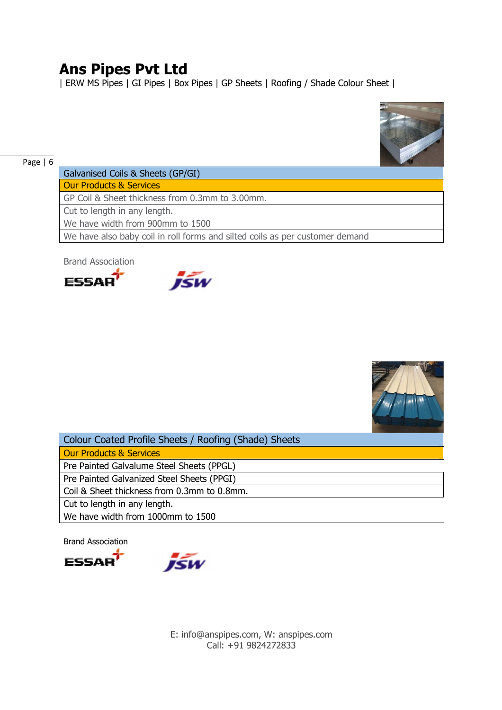| ERW MS Pipes | GI Pipes | Box Pipes | GP Sheets | Roofing / Shade Colour Sheet |



#### Page | 6

Galvanised Coils & Sheets (GP/GI) Our Products & Services

GP Coil & Sheet thickness from 0.3mm to 3.00mm.

Cut to length in any length.

We have width from 900mm to 1500

We have also baby coil in roll forms and silted coils as per customer demand

Brand Association







| Colour Coated Profile Sheets / Roofing (Shade) Sheets |  |
|-------------------------------------------------------|--|
| Our Products & Services                               |  |
| Pre Painted Galvalume Steel Sheets (PPGL)             |  |
| Pre Painted Galvanized Steel Sheets (PPGI)            |  |
| Coil & Sheet thickness from 0.3mm to 0.8mm.           |  |
| Cut to length in any length.                          |  |
| We have width from 1000mm to 1500                     |  |
|                                                       |  |

Brand Association